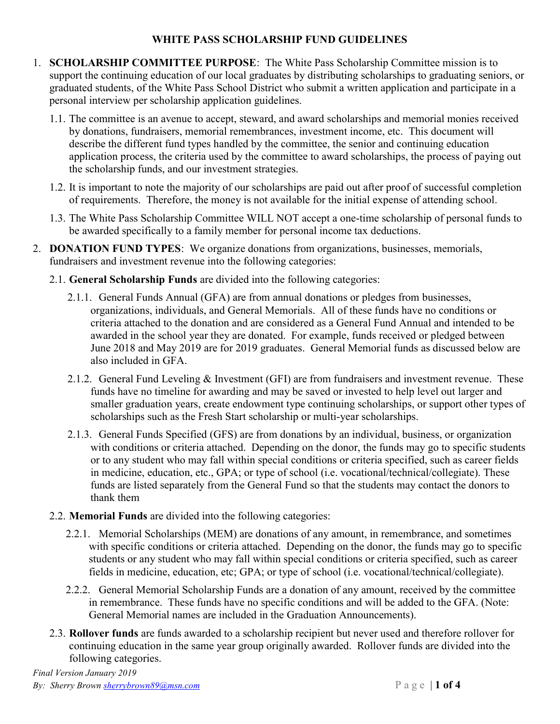## WHITE PASS SCHOLARSHIP FUND GUIDELINES

- 1. SCHOLARSHIP COMMITTEE PURPOSE: The White Pass Scholarship Committee mission is to support the continuing education of our local graduates by distributing scholarships to graduating seniors, or graduated students, of the White Pass School District who submit a written application and participate in a personal interview per scholarship application guidelines.
	- 1.1. The committee is an avenue to accept, steward, and award scholarships and memorial monies received by donations, fundraisers, memorial remembrances, investment income, etc. This document will describe the different fund types handled by the committee, the senior and continuing education application process, the criteria used by the committee to award scholarships, the process of paying out the scholarship funds, and our investment strategies.
	- 1.2. It is important to note the majority of our scholarships are paid out after proof of successful completion of requirements. Therefore, the money is not available for the initial expense of attending school.
	- 1.3. The White Pass Scholarship Committee WILL NOT accept a one-time scholarship of personal funds to be awarded specifically to a family member for personal income tax deductions.
- 2. DONATION FUND TYPES: We organize donations from organizations, businesses, memorials, fundraisers and investment revenue into the following categories:
	- 2.1. General Scholarship Funds are divided into the following categories:
		- 2.1.1. General Funds Annual (GFA) are from annual donations or pledges from businesses, organizations, individuals, and General Memorials. All of these funds have no conditions or criteria attached to the donation and are considered as a General Fund Annual and intended to be awarded in the school year they are donated. For example, funds received or pledged between June 2018 and May 2019 are for 2019 graduates. General Memorial funds as discussed below are also included in GFA.
		- 2.1.2. General Fund Leveling  $\&$  Investment (GFI) are from fundraisers and investment revenue. These funds have no timeline for awarding and may be saved or invested to help level out larger and smaller graduation years, create endowment type continuing scholarships, or support other types of scholarships such as the Fresh Start scholarship or multi-year scholarships.
		- 2.1.3. General Funds Specified (GFS) are from donations by an individual, business, or organization with conditions or criteria attached. Depending on the donor, the funds may go to specific students or to any student who may fall within special conditions or criteria specified, such as career fields in medicine, education, etc., GPA; or type of school (i.e. vocational/technical/collegiate). These funds are listed separately from the General Fund so that the students may contact the donors to thank them
	- 2.2. Memorial Funds are divided into the following categories:
		- 2.2.1. Memorial Scholarships (MEM) are donations of any amount, in remembrance, and sometimes with specific conditions or criteria attached. Depending on the donor, the funds may go to specific students or any student who may fall within special conditions or criteria specified, such as career fields in medicine, education, etc; GPA; or type of school (i.e. vocational/technical/collegiate).
		- 2.2.2. General Memorial Scholarship Funds are a donation of any amount, received by the committee in remembrance. These funds have no specific conditions and will be added to the GFA. (Note: General Memorial names are included in the Graduation Announcements).
	- 2.3. Rollover funds are funds awarded to a scholarship recipient but never used and therefore rollover for continuing education in the same year group originally awarded. Rollover funds are divided into the following categories.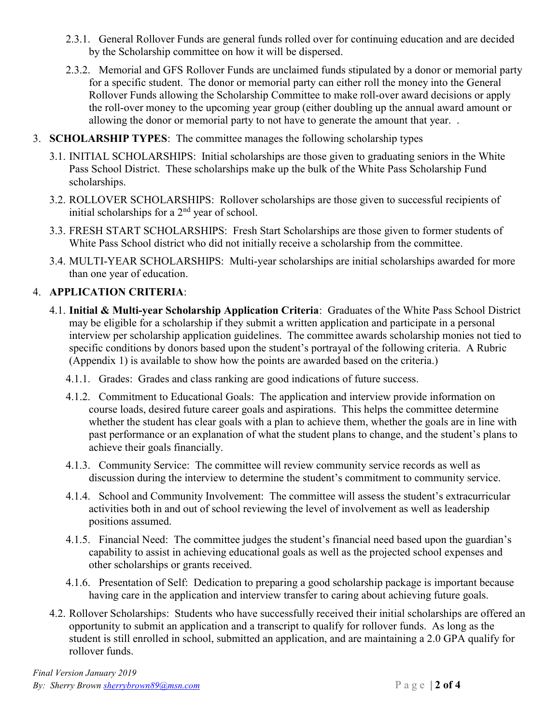- 2.3.1. General Rollover Funds are general funds rolled over for continuing education and are decided by the Scholarship committee on how it will be dispersed.
- 2.3.2. Memorial and GFS Rollover Funds are unclaimed funds stipulated by a donor or memorial party for a specific student. The donor or memorial party can either roll the money into the General Rollover Funds allowing the Scholarship Committee to make roll-over award decisions or apply the roll-over money to the upcoming year group (either doubling up the annual award amount or allowing the donor or memorial party to not have to generate the amount that year. .
- 3. SCHOLARSHIP TYPES: The committee manages the following scholarship types
	- 3.1. INITIAL SCHOLARSHIPS: Initial scholarships are those given to graduating seniors in the White Pass School District. These scholarships make up the bulk of the White Pass Scholarship Fund scholarships.
	- 3.2. ROLLOVER SCHOLARSHIPS: Rollover scholarships are those given to successful recipients of initial scholarships for a  $2<sup>nd</sup>$  year of school.
	- 3.3. FRESH START SCHOLARSHIPS: Fresh Start Scholarships are those given to former students of White Pass School district who did not initially receive a scholarship from the committee.
	- 3.4. MULTI-YEAR SCHOLARSHIPS: Multi-year scholarships are initial scholarships awarded for more than one year of education.

#### 4. APPLICATION CRITERIA:

- 4.1. Initial & Multi-year Scholarship Application Criteria: Graduates of the White Pass School District may be eligible for a scholarship if they submit a written application and participate in a personal interview per scholarship application guidelines. The committee awards scholarship monies not tied to specific conditions by donors based upon the student's portrayal of the following criteria. A Rubric (Appendix 1) is available to show how the points are awarded based on the criteria.)
	- 4.1.1. Grades: Grades and class ranking are good indications of future success.
	- 4.1.2. Commitment to Educational Goals: The application and interview provide information on course loads, desired future career goals and aspirations. This helps the committee determine whether the student has clear goals with a plan to achieve them, whether the goals are in line with past performance or an explanation of what the student plans to change, and the student's plans to achieve their goals financially.
	- 4.1.3. Community Service: The committee will review community service records as well as discussion during the interview to determine the student's commitment to community service.
	- 4.1.4. School and Community Involvement: The committee will assess the student's extracurricular activities both in and out of school reviewing the level of involvement as well as leadership positions assumed.
	- 4.1.5. Financial Need: The committee judges the student's financial need based upon the guardian's capability to assist in achieving educational goals as well as the projected school expenses and other scholarships or grants received.
	- 4.1.6. Presentation of Self: Dedication to preparing a good scholarship package is important because having care in the application and interview transfer to caring about achieving future goals.
- 4.2. Rollover Scholarships: Students who have successfully received their initial scholarships are offered an opportunity to submit an application and a transcript to qualify for rollover funds. As long as the student is still enrolled in school, submitted an application, and are maintaining a 2.0 GPA qualify for rollover funds.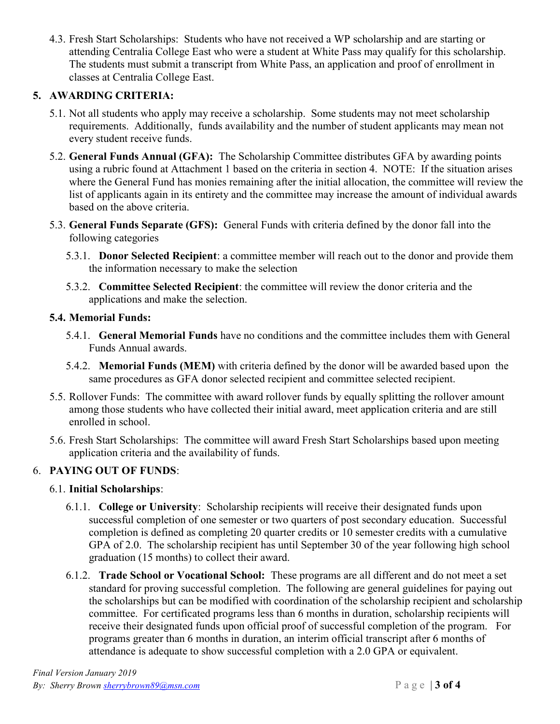4.3. Fresh Start Scholarships: Students who have not received a WP scholarship and are starting or attending Centralia College East who were a student at White Pass may qualify for this scholarship. The students must submit a transcript from White Pass, an application and proof of enrollment in classes at Centralia College East.

# 5. AWARDING CRITERIA:

- 5.1. Not all students who apply may receive a scholarship. Some students may not meet scholarship requirements. Additionally, funds availability and the number of student applicants may mean not every student receive funds.
- 5.2. General Funds Annual (GFA): The Scholarship Committee distributes GFA by awarding points using a rubric found at Attachment 1 based on the criteria in section 4. NOTE: If the situation arises where the General Fund has monies remaining after the initial allocation, the committee will review the list of applicants again in its entirety and the committee may increase the amount of individual awards based on the above criteria.
- 5.3. General Funds Separate (GFS): General Funds with criteria defined by the donor fall into the following categories
	- 5.3.1. Donor Selected Recipient: a committee member will reach out to the donor and provide them the information necessary to make the selection
	- 5.3.2. Committee Selected Recipient: the committee will review the donor criteria and the applications and make the selection.

### 5.4. Memorial Funds:

- 5.4.1. General Memorial Funds have no conditions and the committee includes them with General Funds Annual awards.
- 5.4.2. Memorial Funds (MEM) with criteria defined by the donor will be awarded based upon the same procedures as GFA donor selected recipient and committee selected recipient.
- 5.5. Rollover Funds: The committee with award rollover funds by equally splitting the rollover amount among those students who have collected their initial award, meet application criteria and are still enrolled in school.
- 5.6. Fresh Start Scholarships: The committee will award Fresh Start Scholarships based upon meeting application criteria and the availability of funds.

## 6. PAYING OUT OF FUNDS:

#### 6.1. Initial Scholarships:

- 6.1.1. College or University: Scholarship recipients will receive their designated funds upon successful completion of one semester or two quarters of post secondary education. Successful completion is defined as completing 20 quarter credits or 10 semester credits with a cumulative GPA of 2.0. The scholarship recipient has until September 30 of the year following high school graduation (15 months) to collect their award.
- 6.1.2. Trade School or Vocational School: These programs are all different and do not meet a set standard for proving successful completion. The following are general guidelines for paying out the scholarships but can be modified with coordination of the scholarship recipient and scholarship committee. For certificated programs less than 6 months in duration, scholarship recipients will receive their designated funds upon official proof of successful completion of the program. For programs greater than 6 months in duration, an interim official transcript after 6 months of attendance is adequate to show successful completion with a 2.0 GPA or equivalent.